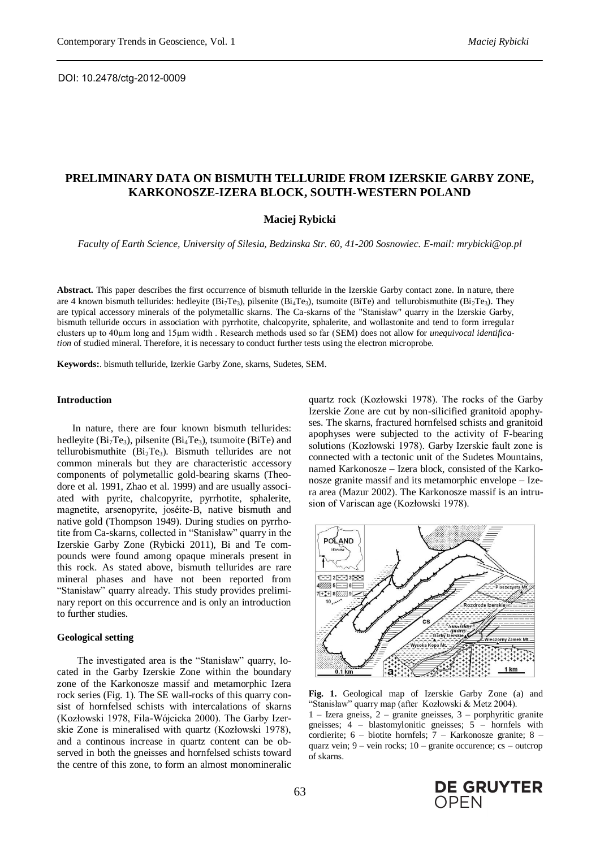# **PRELIMINARY DATA ON BISMUTH TELLURIDE FROM IZERSKIE GARBY ZONE, KARKONOSZE-IZERA BLOCK, SOUTH-WESTERN POLAND**

### **Maciej Rybicki**

*Faculty of Earth Science, University of Silesia, Bedzinska Str. 60, 41-200 Sosnowiec. E-mail: mrybicki@op.pl*

**Abstract.** This paper describes the first occurrence of bismuth telluride in the Izerskie Garby contact zone. In nature, there are 4 known bismuth tellurides: hedleyite  $(Bi_7Te_3)$ , pilsenite  $(Bi_4Te_3)$ , tsumoite (BiTe) and tellurobismuthite  $(Bi_2Te_3)$ . They are typical accessory minerals of the polymetallic skarns. The Ca-skarns of the "Stanisław" quarry in the Izerskie Garby, bismuth telluride occurs in association with pyrrhotite, chalcopyrite, sphalerite, and wollastonite and tend to form irregular clusters up to 40µm long and 15µm width . Research methods used so far (SEM) does not allow for *unequivocal identification* of studied mineral. Therefore, it is necessary to conduct further tests using the electron microprobe.

**Keywords:**. bismuth telluride, Izerkie Garby Zone, skarns, Sudetes, SEM.

#### **Introduction**

In nature, there are four known bismuth tellurides: hedleyite ( $Bi<sub>7</sub>Te<sub>3</sub>$ ), pilsenite ( $Bi<sub>4</sub>Te<sub>3</sub>$ ), tsumoite ( $Bi<sub>7</sub>Te<sub>3</sub>$ ) and tellurobismuthite  $(Bi<sub>2</sub>Te<sub>3</sub>)$ . Bismuth tellurides are not common minerals but they are characteristic accessory components of polymetallic gold-bearing skarns (Theodore et al. 1991, Zhao et al. 1999) and are usually associated with pyrite, chalcopyrite, pyrrhotite, sphalerite, magnetite, arsenopyrite, joséite-B, native bismuth and native gold (Thompson 1949). During studies on pyrrhotite from Ca-skarns, collected in "Stanisław" quarry in the Izerskie Garby Zone (Rybicki 2011), Bi and Te compounds were found among opaque minerals present in this rock. As stated above, bismuth tellurides are rare mineral phases and have not been reported from "Stanisław" quarry already. This study provides preliminary report on this occurrence and is only an introduction to further studies.

#### **Geological setting**

The investigated area is the "Stanisław" quarry, located in the Garby Izerskie Zone within the boundary zone of the Karkonosze massif and metamorphic Izera rock series (Fig. 1). The SE wall-rocks of this quarry consist of hornfelsed schists with intercalations of skarns (Kozłowski 1978, Fila-Wójcicka 2000). The Garby Izerskie Zone is mineralised with quartz (Kozłowski 1978), and a continous increase in quartz content can be observed in both the gneisses and hornfelsed schists toward the centre of this zone, to form an almost monomineralic

quartz rock (Kozłowski 1978). The rocks of the Garby Izerskie Zone are cut by non-silicified granitoid apophyses. The skarns, fractured hornfelsed schists and granitoid apophyses were subjected to the activity of F-bearing solutions (Kozłowski 1978). Garby Izerskie fault zone is connected with a tectonic unit of the Sudetes Mountains, named Karkonosze – Izera block, consisted of the Karkonosze granite massif and its metamorphic envelope – Izera area (Mazur 2002). The Karkonosze massif is an intrusion of Variscan age (Kozłowski 1978).



**Fig. 1.** Geological map of Izerskie Garby Zone (a) and "Stanisław" quarry map (after Kozłowski & Metz 2004). 1 – Izera gneiss, 2 – granite gneisses, 3 – porphyritic granite gneisses; 4 – blastomylonitic gneisses; 5 – hornfels with cordierite; 6 – biotite hornfels; 7 – Karkonosze granite; 8 – quarz vein;  $9 -$  vein rocks;  $10 -$  granite occurence; cs – outcrop of skarns.

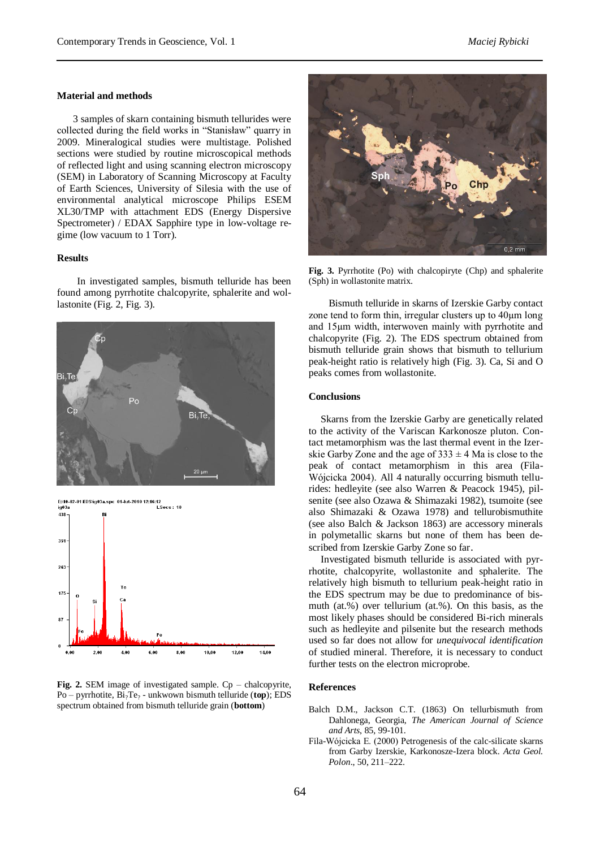## **Material and methods**

3 samples of skarn containing bismuth tellurides were collected during the field works in "Stanisław" quarry in 2009. Mineralogical studies were multistage. Polished sections were studied by routine microscopical methods of reflected light and using scanning electron microscopy (SEM) in Laboratory of Scanning Microscopy at Faculty of Earth Sciences, University of Silesia with the use of environmental analytical microscope Philips ESEM XL30/TMP with attachment EDS (Energy Dispersive Spectrometer) / EDAX Sapphire type in low-voltage regime (low vacuum to 1 Torr).

## **Results**

In investigated samples, bismuth telluride has been found among pyrrhotite chalcopyrite, sphalerite and wollastonite (Fig. 2, Fig. 3).









**Fig. 3.** Pyrrhotite (Po) with chalcopiryte (Chp) and sphalerite (Sph) in wollastonite matrix.

Bismuth telluride in skarns of Izerskie Garby contact zone tend to form thin, irregular clusters up to 40µm long and 15µm width, interwoven mainly with pyrrhotite and chalcopyrite (Fig. 2). The EDS spectrum obtained from bismuth telluride grain shows that bismuth to tellurium peak-height ratio is relatively high (Fig. 3). Ca, Si and O peaks comes from wollastonite.

## **Conclusions**

Skarns from the Izerskie Garby are genetically related to the activity of the Variscan Karkonosze pluton. Contact metamorphism was the last thermal event in the Izerskie Garby Zone and the age of  $333 \pm 4$  Ma is close to the peak of contact metamorphism in this area (Fila-Wójcicka 2004). All 4 naturally occurring bismuth tellurides: hedleyite (see also Warren & Peacock 1945), pilsenite (see also Ozawa & Shimazaki 1982), tsumoite (see also Shimazaki & Ozawa 1978) and tellurobismuthite (see also Balch & Jackson 1863) are accessory minerals in polymetallic skarns but none of them has been described from Izerskie Garby Zone so far.

Investigated bismuth telluride is associated with pyrrhotite, chalcopyrite, wollastonite and sphalerite. The relatively high bismuth to tellurium peak-height ratio in the EDS spectrum may be due to predominance of bismuth (at.%) over tellurium (at.%). On this basis, as the most likely phases should be considered Bi-rich minerals such as hedleyite and pilsenite but the research methods used so far does not allow for *unequivocal identification* of studied mineral. Therefore, it is necessary to conduct further tests on the electron microprobe.

## **References**

- Balch D.M., Jackson C.T. (1863) On tellurbismuth from Dahlonega, Georgia, *The American Journal of Science and Arts*, 85, 99-101.
- Fila-Wójcicka E. (2000) Petrogenesis of the calc-silicate skarns from Garby Izerskie, Karkonosze-Izera block. *Acta Geol. Polon*., 50, 211–222.